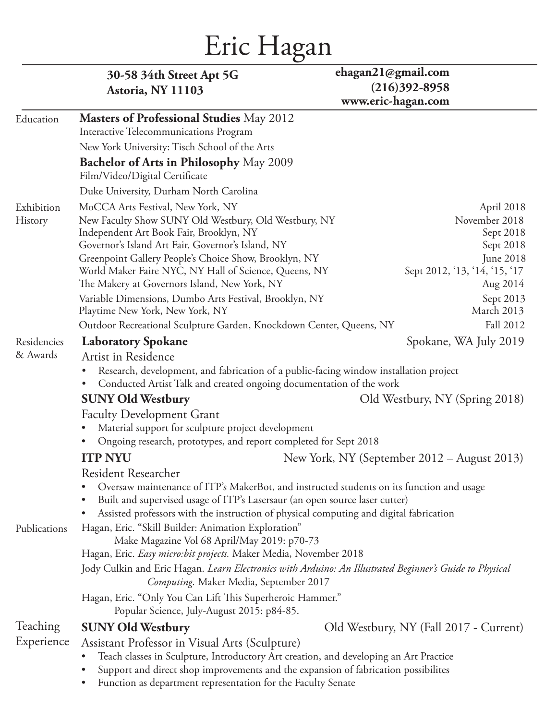# Eric Hagan

|              | 30-58 34th Street Apt 5G<br>Astoria, NY 11103                                                                                                                                                                                              | ehagan $21$ @gmail.com<br>$(216)392 - 8958$ |                                         |
|--------------|--------------------------------------------------------------------------------------------------------------------------------------------------------------------------------------------------------------------------------------------|---------------------------------------------|-----------------------------------------|
|              |                                                                                                                                                                                                                                            | www.eric-hagan.com                          |                                         |
| Education    | <b>Masters of Professional Studies</b> May 2012                                                                                                                                                                                            |                                             |                                         |
|              | Interactive Telecommunications Program                                                                                                                                                                                                     |                                             |                                         |
|              | New York University: Tisch School of the Arts                                                                                                                                                                                              |                                             |                                         |
|              | Bachelor of Arts in Philosophy May 2009<br>Film/Video/Digital Certificate                                                                                                                                                                  |                                             |                                         |
|              | Duke University, Durham North Carolina                                                                                                                                                                                                     |                                             |                                         |
| Exhibition   | MoCCA Arts Festival, New York, NY                                                                                                                                                                                                          |                                             | April 2018                              |
| History      | New Faculty Show SUNY Old Westbury, Old Westbury, NY<br>Independent Art Book Fair, Brooklyn, NY<br>Governor's Island Art Fair, Governor's Island, NY                                                                                       |                                             | November 2018<br>Sept 2018<br>Sept 2018 |
|              | Greenpoint Gallery People's Choice Show, Brooklyn, NY                                                                                                                                                                                      |                                             | June 2018                               |
|              | World Maker Faire NYC, NY Hall of Science, Queens, NY                                                                                                                                                                                      | Sept 2012, '13, '14, '15, '17               |                                         |
|              | The Makery at Governors Island, New York, NY                                                                                                                                                                                               |                                             | Aug 2014                                |
|              | Variable Dimensions, Dumbo Arts Festival, Brooklyn, NY<br>Playtime New York, New York, NY                                                                                                                                                  |                                             | Sept 2013<br>March 2013                 |
|              | Outdoor Recreational Sculpture Garden, Knockdown Center, Queens, NY                                                                                                                                                                        |                                             | Fall 2012                               |
| Residencies  | <b>Laboratory Spokane</b>                                                                                                                                                                                                                  | Spokane, WA July 2019                       |                                         |
| & Awards     | Artist in Residence                                                                                                                                                                                                                        |                                             |                                         |
|              | Research, development, and fabrication of a public-facing window installation project<br>$\bullet$<br>Conducted Artist Talk and created ongoing documentation of the work<br>$\bullet$                                                     |                                             |                                         |
|              | <b>SUNY Old Westbury</b>                                                                                                                                                                                                                   | Old Westbury, NY (Spring 2018)              |                                         |
|              | Faculty Development Grant                                                                                                                                                                                                                  |                                             |                                         |
|              | Material support for sculpture project development<br>$\bullet$                                                                                                                                                                            |                                             |                                         |
|              | Ongoing research, prototypes, and report completed for Sept 2018<br>$\bullet$                                                                                                                                                              |                                             |                                         |
|              | <b>ITP NYU</b>                                                                                                                                                                                                                             | New York, NY (September 2012 – August 2013) |                                         |
|              | Resident Researcher                                                                                                                                                                                                                        |                                             |                                         |
|              | Oversaw maintenance of ITP's MakerBot, and instructed students on its function and usage                                                                                                                                                   |                                             |                                         |
|              | Built and supervised usage of ITP's Lasersaur (an open source laser cutter)<br>$\bullet$                                                                                                                                                   |                                             |                                         |
|              | Assisted professors with the instruction of physical computing and digital fabrication<br>$\bullet$                                                                                                                                        |                                             |                                         |
| Publications | Hagan, Eric. "Skill Builder: Animation Exploration"                                                                                                                                                                                        |                                             |                                         |
|              | Make Magazine Vol 68 April/May 2019: p70-73<br>Hagan, Eric. Easy micro: bit projects. Maker Media, November 2018                                                                                                                           |                                             |                                         |
|              | Jody Culkin and Eric Hagan. Learn Electronics with Arduino: An Illustrated Beginner's Guide to Physical                                                                                                                                    |                                             |                                         |
|              | Computing. Maker Media, September 2017                                                                                                                                                                                                     |                                             |                                         |
|              | Hagan, Eric. "Only You Can Lift This Superheroic Hammer."                                                                                                                                                                                  |                                             |                                         |
|              | Popular Science, July-August 2015: p84-85.                                                                                                                                                                                                 |                                             |                                         |
| Teaching     | <b>SUNY Old Westbury</b>                                                                                                                                                                                                                   | Old Westbury, NY (Fall 2017 - Current)      |                                         |
| Experience   | Assistant Professor in Visual Arts (Sculpture)<br>Teach classes in Sculpture, Introductory Art creation, and developing an Art Practice<br>Support and direct shop improvements and the expansion of fabrication possibilites<br>$\bullet$ |                                             |                                         |
|              | Function as department representation for the Faculty Senate<br>$\bullet$                                                                                                                                                                  |                                             |                                         |